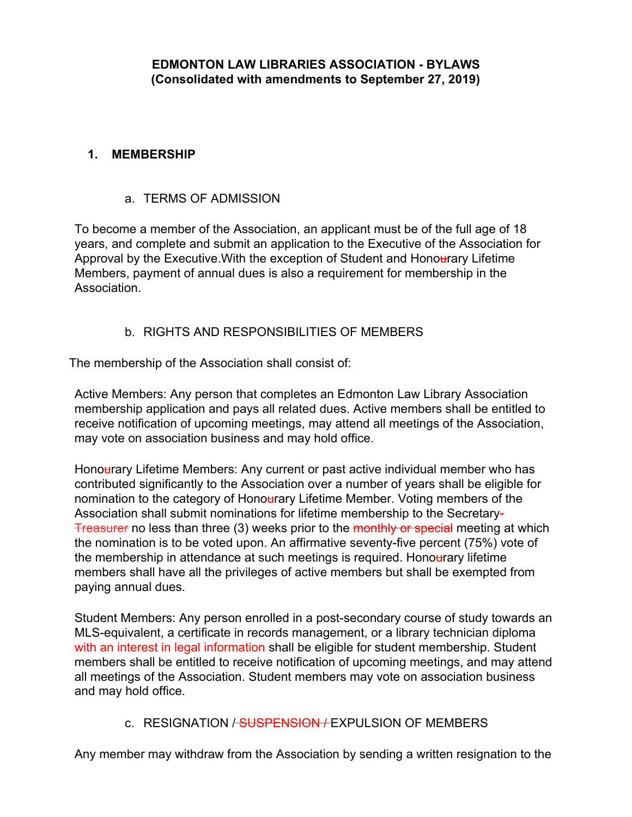#### **1. MEMBERSHIP**

#### a. TERMS OF ADMISSION

To become a member of the Association, an applicant must be of the full age of 18 years, and complete and submit an application to the Executive of the Association for Approval by the Executive. With the exception of Student and Honourary Lifetime Members, payment of annual dues is also a requirement for membership in the Association.

# b. RIGHTS AND RESPONSIBILITIES OF MEMBERS

The membership of the Association shall consist of:

Active Members: Any person that completes an Edmonton Law Library Association membership application and pays all related dues. Active members shall be entitled to receive notification of upcoming meetings, may attend all meetings of the Association, may vote on association business and may hold office.

Honourary Lifetime Members: Any current or past active individual member who has contributed significantly to the Association over a number of years shall be eligible for nomination to the category of Honourary Lifetime Member. Voting members of the Association shall submit nominations for lifetime membership to the Secretary-Treasurer no less than three (3) weeks prior to the monthly or special meeting at which the nomination is to be voted upon. An affirmative seventy-five percent (75%) vote of the membership in attendance at such meetings is required. Honourary lifetime members shall have all the privileges of active members but shall be exempted from paying annual dues.

Student Members: Any person enrolled in a post-secondary course of study towards an MLS-equivalent, a certificate in records management, or a library technician diploma with an interest in legal information shall be eligible for student membership. Student members shall be entitled to receive notification of upcoming meetings, and may attend all meetings of the Association. Student members may vote on association business and may hold office.

c. RESIGNATION / SUSPENSION / EXPULSION OF MEMBERS

Any member may withdraw from the Association by sending a written resignation to the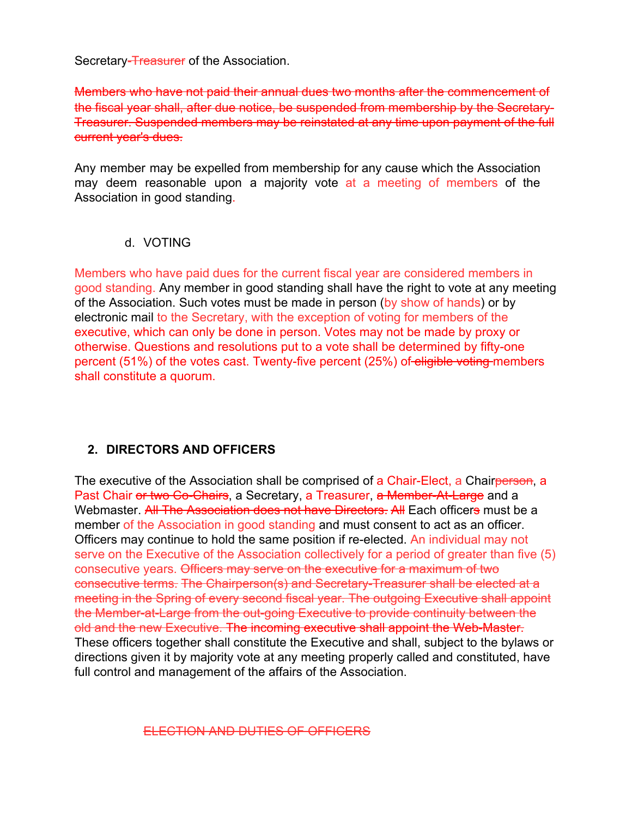Secretary-Treasurer of the Association.

Members who have not paid their annual dues two months after the commencement of the fiscal year shall, after due notice, be suspended from membership by the Secretary-Treasurer. Suspended members may be reinstated at any time upon payment of the full current year's dues.

Any member may be expelled from membership for any cause which the Association may deem reasonable upon a majority vote at a meeting of members of the Association in good standing.

### d. VOTING

Members who have paid dues for the current fiscal year are considered members in good standing. Any member in good standing shall have the right to vote at any meeting of the Association. Such votes must be made in person (by show of hands) or by electronic mail to the Secretary, with the exception of voting for members of the executive, which can only be done in person. Votes may not be made by proxy or otherwise. Questions and resolutions put to a vote shall be determined by fifty-one percent (51%) of the votes cast. Twenty-five percent (25%) of eligible voting members shall constitute a quorum.

### **2. DIRECTORS AND OFFICERS**

The executive of the Association shall be comprised of a Chair-Elect, a Chairperson, a Past Chair or two Co-Chairs, a Secretary, a Treasurer, a Member-At-Large and a Webmaster. All The Association does not have Directors. All Each officers must be a member of the Association in good standing and must consent to act as an officer. Officers may continue to hold the same position if re-elected. An individual may not serve on the Executive of the Association collectively for a period of greater than five (5) consecutive years. Officers may serve on the executive for a maximum of two consecutive terms. The Chairperson(s) and Secretary-Treasurer shall be elected at a meeting in the Spring of every second fiscal year. The outgoing Executive shall appoint the Member-at-Large from the out-going Executive to provide continuity between the old and the new Executive. The incoming executive shall appoint the Web-Master. These officers together shall constitute the Executive and shall, subject to the bylaws or directions given it by majority vote at any meeting properly called and constituted, have full control and management of the affairs of the Association.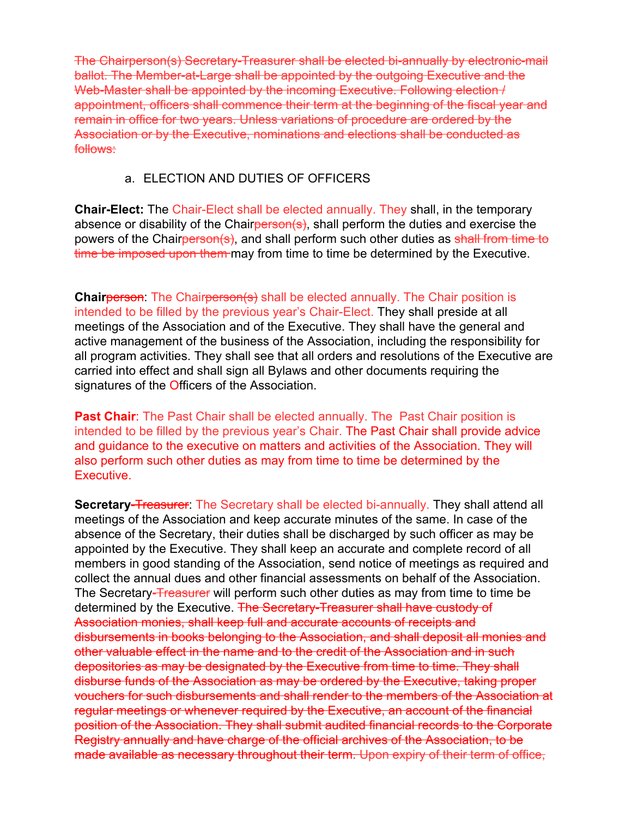The Chairperson(s) Secretary-Treasurer shall be elected bi-annually by electronic-mail ballot. The Member-at-Large shall be appointed by the outgoing Executive and the Web-Master shall be appointed by the incoming Executive. Following election / appointment, officers shall commence their term at the beginning of the fiscal year and remain in office for two years. Unless variations of procedure are ordered by the Association or by the Executive, nominations and elections shall be conducted as follows:

#### a. ELECTION AND DUTIES OF OFFICERS

**Chair-Elect:** The Chair-Elect shall be elected annually. They shall, in the temporary absence or disability of the Chairperson(s), shall perform the duties and exercise the powers of the Chairperson(s), and shall perform such other duties as shall from time to time be imposed upon them may from time to time be determined by the Executive.

**Chair<del>person</del>:** The Chair<del>person(s)</del> shall be elected annually. The Chair position is intended to be filled by the previous year's Chair-Elect. They shall preside at all meetings of the Association and of the Executive. They shall have the general and active management of the business of the Association, including the responsibility for all program activities. They shall see that all orders and resolutions of the Executive are carried into effect and shall sign all Bylaws and other documents requiring the signatures of the Officers of the Association.

**Past Chair**: The Past Chair shall be elected annually. The Past Chair position is intended to be filled by the previous year's Chair. The Past Chair shall provide advice and guidance to the executive on matters and activities of the Association. They will also perform such other duties as may from time to time be determined by the Executive.

**Secretary-Treasurer:** The Secretary shall be elected bi-annually. They shall attend all meetings of the Association and keep accurate minutes of the same. In case of the absence of the Secretary, their duties shall be discharged by such officer as may be appointed by the Executive. They shall keep an accurate and complete record of all members in good standing of the Association, send notice of meetings as required and collect the annual dues and other financial assessments on behalf of the Association. The Secretary-Treasurer will perform such other duties as may from time to time be determined by the Executive. The Secretary-Treasurer shall have custody of Association monies, shall keep full and accurate accounts of receipts and disbursements in books belonging to the Association, and shall deposit all monies and other valuable effect in the name and to the credit of the Association and in such depositories as may be designated by the Executive from time to time. They shall disburse funds of the Association as may be ordered by the Executive, taking proper vouchers for such disbursements and shall render to the members of the Association at regular meetings or whenever required by the Executive, an account of the financial position of the Association. They shall submit audited financial records to the Corporate Registry annually and have charge of the official archives of the Association, to be made available as necessary throughout their term. Upon expiry of their term of office,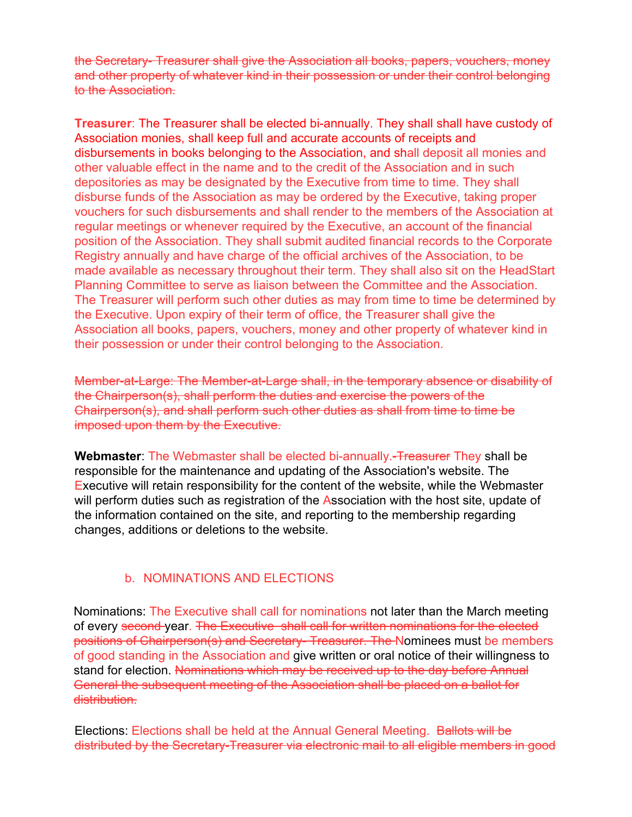the Secretary- Treasurer shall give the Association all books, papers, vouchers, money and other property of whatever kind in their possession or under their control belonging to the Association.

**Treasurer**: The Treasurer shall be elected bi-annually. They shall shall have custody of Association monies, shall keep full and accurate accounts of receipts and disbursements in books belonging to the Association, and shall deposit all monies and other valuable effect in the name and to the credit of the Association and in such depositories as may be designated by the Executive from time to time. They shall disburse funds of the Association as may be ordered by the Executive, taking proper vouchers for such disbursements and shall render to the members of the Association at regular meetings or whenever required by the Executive, an account of the financial position of the Association. They shall submit audited financial records to the Corporate Registry annually and have charge of the official archives of the Association, to be made available as necessary throughout their term. They shall also sit on the HeadStart Planning Committee to serve as liaison between the Committee and the Association. The Treasurer will perform such other duties as may from time to time be determined by the Executive. Upon expiry of their term of office, the Treasurer shall give the Association all books, papers, vouchers, money and other property of whatever kind in their possession or under their control belonging to the Association.

Member-at-Large: The Member-at-Large shall, in the temporary absence or disability of the Chairperson(s), shall perform the duties and exercise the powers of the Chairperson(s), and shall perform such other duties as shall from time to time be imposed upon them by the Executive.

**Webmaster:** The Webmaster shall be elected bi-annually.-Treasurer They shall be responsible for the maintenance and updating of the Association's website. The Executive will retain responsibility for the content of the website, while the Webmaster will perform duties such as registration of the Association with the host site, update of the information contained on the site, and reporting to the membership regarding changes, additions or deletions to the website.

# b. NOMINATIONS AND ELECTIONS

Nominations: The Executive shall call for nominations not later than the March meeting of every second year. The Executive shall call for written nominations for the elected positions of Chairperson(s) and Secretary- Treasurer. The Nominees must be members of good standing in the Association and give written or oral notice of their willingness to stand for election. Nominations which may be received up to the day before Annual General the subsequent meeting of the Association shall be placed on a ballot for distribution.

Elections: Elections shall be held at the Annual General Meeting. Ballots will be distributed by the Secretary-Treasurer via electronic mail to all eligible members in good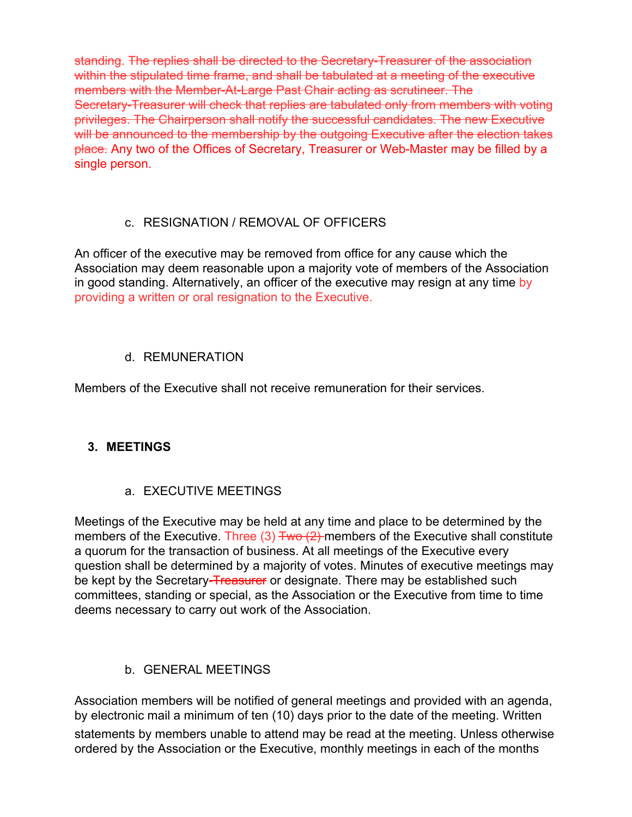standing. The replies shall be directed to the Secretary-Treasurer of the association within the stipulated time frame, and shall be tabulated at a meeting of the executive members with the Member-At-Large Past Chair acting as scrutineer. The Secretary-Treasurer will check that replies are tabulated only from members with voting privileges. The Chairperson shall notify the successful candidates. The new Executive will be announced to the membership by the outgoing Executive after the election takes place. Any two of the Offices of Secretary, Treasurer or Web-Master may be filled by a single person.

# c. RESIGNATION / REMOVAL OF OFFICERS

An officer of the executive may be removed from office for any cause which the Association may deem reasonable upon a majority vote of members of the Association in good standing. Alternatively, an officer of the executive may resign at any time by providing a written or oral resignation to the Executive.

# d. REMUNERATION

Members of the Executive shall not receive remuneration for their services.

# **3. MEETINGS**

### a. EXECUTIVE MEETINGS

Meetings of the Executive may be held at any time and place to be determined by the members of the Executive. Three (3)  $\frac{1}{2}$  members of the Executive shall constitute a quorum for the transaction of business. At all meetings of the Executive every question shall be determined by a majority of votes. Minutes of executive meetings may be kept by the Secretary-Treasurer or designate. There may be established such committees, standing or special, as the Association or the Executive from time to time deems necessary to carry out work of the Association.

### b. GENERAL MEETINGS

Association members will be notified of general meetings and provided with an agenda, by electronic mail a minimum of ten (10) days prior to the date of the meeting. Written statements by members unable to attend may be read at the meeting. Unless otherwise ordered by the Association or the Executive, monthly meetings in each of the months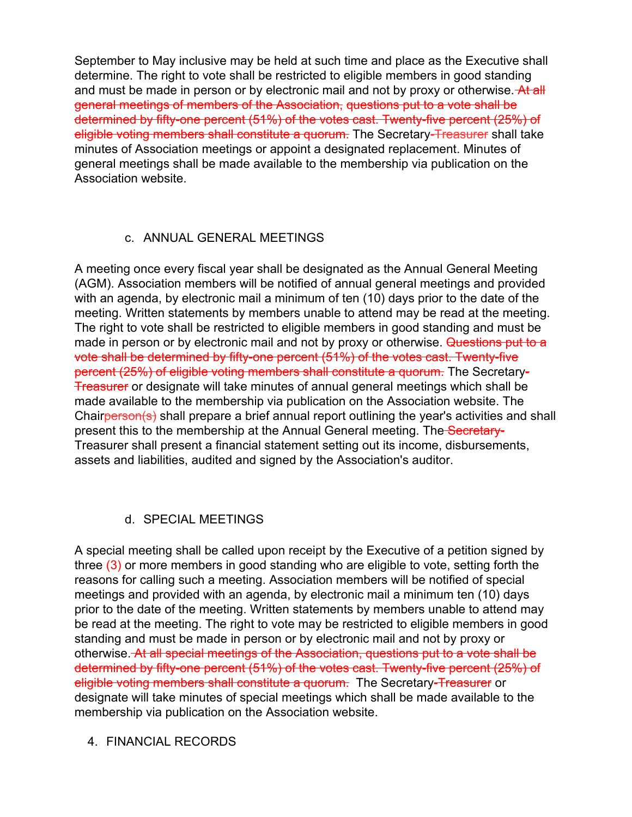September to May inclusive may be held at such time and place as the Executive shall determine. The right to vote shall be restricted to eligible members in good standing and must be made in person or by electronic mail and not by proxy or otherwise. At all general meetings of members of the Association, questions put to a vote shall be determined by fifty-one percent (51%) of the votes cast. Twenty-five percent (25%) of eligible voting members shall constitute a quorum. The Secretary-Treasurer shall take minutes of Association meetings or appoint a designated replacement. Minutes of general meetings shall be made available to the membership via publication on the Association website.

### c. ANNUAL GENERAL MEETINGS

A meeting once every fiscal year shall be designated as the Annual General Meeting (AGM). Association members will be notified of annual general meetings and provided with an agenda, by electronic mail a minimum of ten (10) days prior to the date of the meeting. Written statements by members unable to attend may be read at the meeting. The right to vote shall be restricted to eligible members in good standing and must be made in person or by electronic mail and not by proxy or otherwise. Questions put to a vote shall be determined by fifty-one percent (51%) of the votes cast. Twenty-five percent (25%) of eligible voting members shall constitute a quorum. The Secretary-**Treasurer** or designate will take minutes of annual general meetings which shall be made available to the membership via publication on the Association website. The Chairperson(s) shall prepare a brief annual report outlining the year's activities and shall present this to the membership at the Annual General meeting. The Secretary-Treasurer shall present a financial statement setting out its income, disbursements, assets and liabilities, audited and signed by the Association's auditor.

# d. SPECIAL MEETINGS

A special meeting shall be called upon receipt by the Executive of a petition signed by three (3) or more members in good standing who are eligible to vote, setting forth the reasons for calling such a meeting. Association members will be notified of special meetings and provided with an agenda, by electronic mail a minimum ten (10) days prior to the date of the meeting. Written statements by members unable to attend may be read at the meeting. The right to vote may be restricted to eligible members in good standing and must be made in person or by electronic mail and not by proxy or otherwise. At all special meetings of the Association, questions put to a vote shall be determined by fifty-one percent (51%) of the votes cast. Twenty-five percent (25%) of eligible voting members shall constitute a quorum. The Secretary-Treasurer or designate will take minutes of special meetings which shall be made available to the membership via publication on the Association website.

### 4. FINANCIAL RECORDS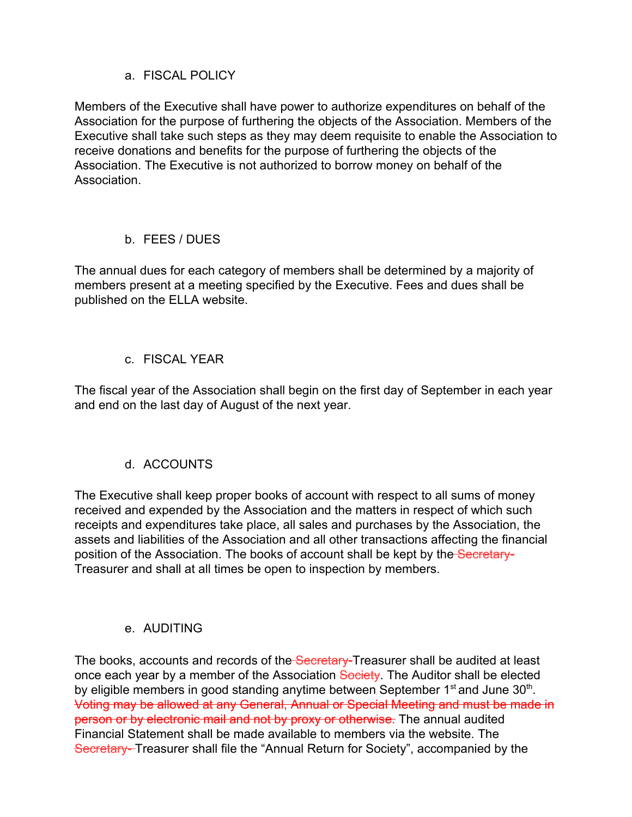### a. FISCAL POLICY

Members of the Executive shall have power to authorize expenditures on behalf of the Association for the purpose of furthering the objects of the Association. Members of the Executive shall take such steps as they may deem requisite to enable the Association to receive donations and benefits for the purpose of furthering the objects of the Association. The Executive is not authorized to borrow money on behalf of the Association.

# b. FEES / DUES

The annual dues for each category of members shall be determined by a majority of members present at a meeting specified by the Executive. Fees and dues shall be published on the ELLA website.

# c. FISCAL YEAR

The fiscal year of the Association shall begin on the first day of September in each year and end on the last day of August of the next year.

# d. ACCOUNTS

The Executive shall keep proper books of account with respect to all sums of money received and expended by the Association and the matters in respect of which such receipts and expenditures take place, all sales and purchases by the Association, the assets and liabilities of the Association and all other transactions affecting the financial position of the Association. The books of account shall be kept by the Secretary-Treasurer and shall at all times be open to inspection by members.

### e. AUDITING

The books, accounts and records of the Secretary-Treasurer shall be audited at least once each year by a member of the Association Society. The Auditor shall be elected by eligible members in good standing anytime between September  $1<sup>st</sup>$  and June  $30<sup>th</sup>$ . Voting may be allowed at any General, Annual or Special Meeting and must be made in person or by electronic mail and not by proxy or otherwise. The annual audited Financial Statement shall be made available to members via the website. The Secretary-Treasurer shall file the "Annual Return for Society", accompanied by the